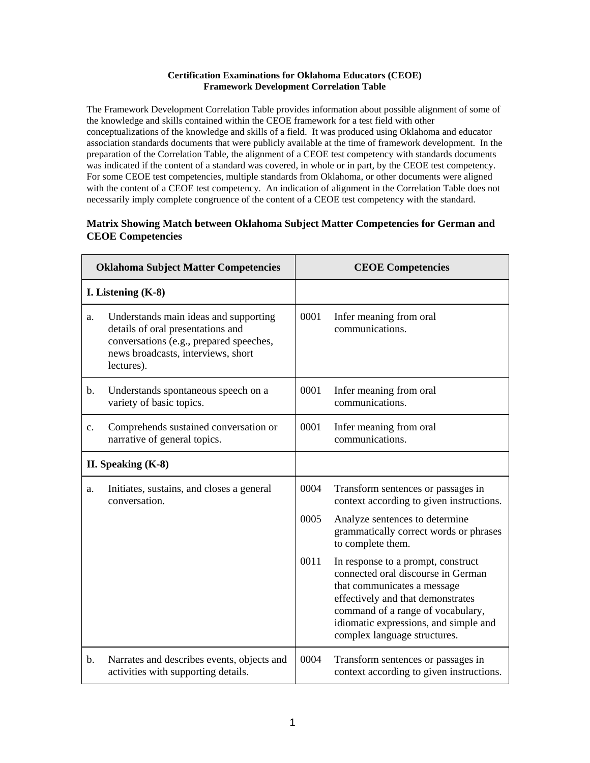## **Certification Examinations for Oklahoma Educators (CEOE) Framework Development Correlation Table**

The Framework Development Correlation Table provides information about possible alignment of some of the knowledge and skills contained within the CEOE framework for a test field with other conceptualizations of the knowledge and skills of a field. It was produced using Oklahoma and educator association standards documents that were publicly available at the time of framework development. In the preparation of the Correlation Table, the alignment of a CEOE test competency with standards documents was indicated if the content of a standard was covered, in whole or in part, by the CEOE test competency. For some CEOE test competencies, multiple standards from Oklahoma, or other documents were aligned with the content of a CEOE test competency. An indication of alignment in the Correlation Table does not necessarily imply complete congruence of the content of a CEOE test competency with the standard.

## **Matrix Showing Match between Oklahoma Subject Matter Competencies for German and CEOE Competencies**

| <b>Oklahoma Subject Matter Competencies</b> |                                                                                                                                                                           | <b>CEOE Competencies</b> |                                                                                                                                                                                                                                                            |
|---------------------------------------------|---------------------------------------------------------------------------------------------------------------------------------------------------------------------------|--------------------------|------------------------------------------------------------------------------------------------------------------------------------------------------------------------------------------------------------------------------------------------------------|
| I. Listening $(K-8)$                        |                                                                                                                                                                           |                          |                                                                                                                                                                                                                                                            |
| a.                                          | Understands main ideas and supporting<br>details of oral presentations and<br>conversations (e.g., prepared speeches,<br>news broadcasts, interviews, short<br>lectures). | 0001                     | Infer meaning from oral<br>communications.                                                                                                                                                                                                                 |
| b.                                          | Understands spontaneous speech on a<br>variety of basic topics.                                                                                                           | 0001                     | Infer meaning from oral<br>communications.                                                                                                                                                                                                                 |
| $\mathbf{c}$ .                              | Comprehends sustained conversation or<br>narrative of general topics.                                                                                                     | 0001                     | Infer meaning from oral<br>communications.                                                                                                                                                                                                                 |
| II. Speaking $(K-8)$                        |                                                                                                                                                                           |                          |                                                                                                                                                                                                                                                            |
| a.                                          | Initiates, sustains, and closes a general<br>conversation.                                                                                                                | 0004                     | Transform sentences or passages in<br>context according to given instructions.                                                                                                                                                                             |
|                                             |                                                                                                                                                                           | 0005                     | Analyze sentences to determine<br>grammatically correct words or phrases<br>to complete them.                                                                                                                                                              |
|                                             |                                                                                                                                                                           | 0011                     | In response to a prompt, construct<br>connected oral discourse in German<br>that communicates a message<br>effectively and that demonstrates<br>command of a range of vocabulary,<br>idiomatic expressions, and simple and<br>complex language structures. |
| b.                                          | Narrates and describes events, objects and<br>activities with supporting details.                                                                                         | 0004                     | Transform sentences or passages in<br>context according to given instructions.                                                                                                                                                                             |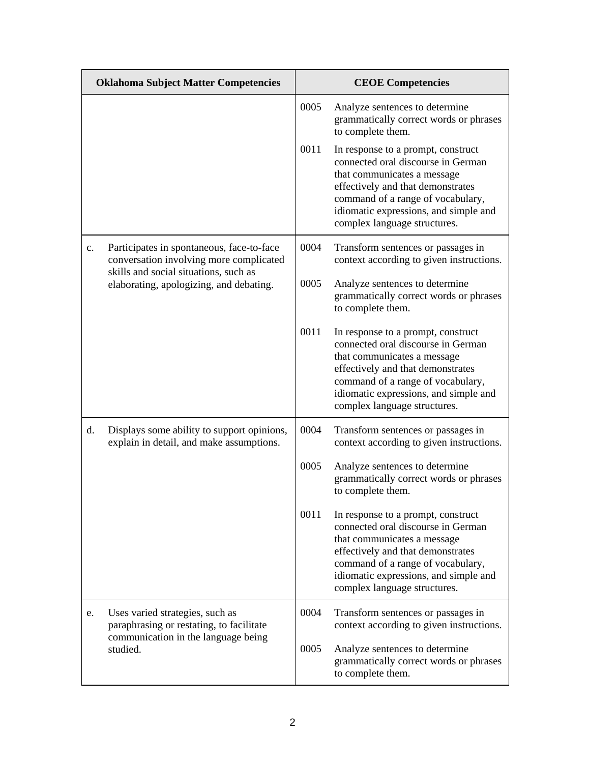| <b>Oklahoma Subject Matter Competencies</b> |                                                                                                                                                                          | <b>CEOE Competencies</b> |                                                                                                                                                                                                                                                            |
|---------------------------------------------|--------------------------------------------------------------------------------------------------------------------------------------------------------------------------|--------------------------|------------------------------------------------------------------------------------------------------------------------------------------------------------------------------------------------------------------------------------------------------------|
|                                             |                                                                                                                                                                          | 0005                     | Analyze sentences to determine<br>grammatically correct words or phrases<br>to complete them.                                                                                                                                                              |
|                                             |                                                                                                                                                                          | 0011                     | In response to a prompt, construct<br>connected oral discourse in German<br>that communicates a message<br>effectively and that demonstrates<br>command of a range of vocabulary,<br>idiomatic expressions, and simple and<br>complex language structures. |
| c.                                          | Participates in spontaneous, face-to-face<br>conversation involving more complicated<br>skills and social situations, such as<br>elaborating, apologizing, and debating. | 0004                     | Transform sentences or passages in<br>context according to given instructions.                                                                                                                                                                             |
|                                             |                                                                                                                                                                          | 0005                     | Analyze sentences to determine<br>grammatically correct words or phrases<br>to complete them.                                                                                                                                                              |
|                                             |                                                                                                                                                                          | 0011                     | In response to a prompt, construct<br>connected oral discourse in German<br>that communicates a message<br>effectively and that demonstrates<br>command of a range of vocabulary,<br>idiomatic expressions, and simple and<br>complex language structures. |
| d.                                          | Displays some ability to support opinions,<br>explain in detail, and make assumptions.                                                                                   | 0004                     | Transform sentences or passages in<br>context according to given instructions.                                                                                                                                                                             |
|                                             |                                                                                                                                                                          | 0005                     | Analyze sentences to determine<br>grammatically correct words or phrases<br>to complete them.                                                                                                                                                              |
|                                             |                                                                                                                                                                          | 0011                     | In response to a prompt, construct<br>connected oral discourse in German<br>that communicates a message<br>effectively and that demonstrates<br>command of a range of vocabulary,<br>idiomatic expressions, and simple and<br>complex language structures. |
| e.                                          | Uses varied strategies, such as<br>paraphrasing or restating, to facilitate<br>communication in the language being<br>studied.                                           | 0004                     | Transform sentences or passages in<br>context according to given instructions.                                                                                                                                                                             |
|                                             |                                                                                                                                                                          | 0005                     | Analyze sentences to determine<br>grammatically correct words or phrases<br>to complete them.                                                                                                                                                              |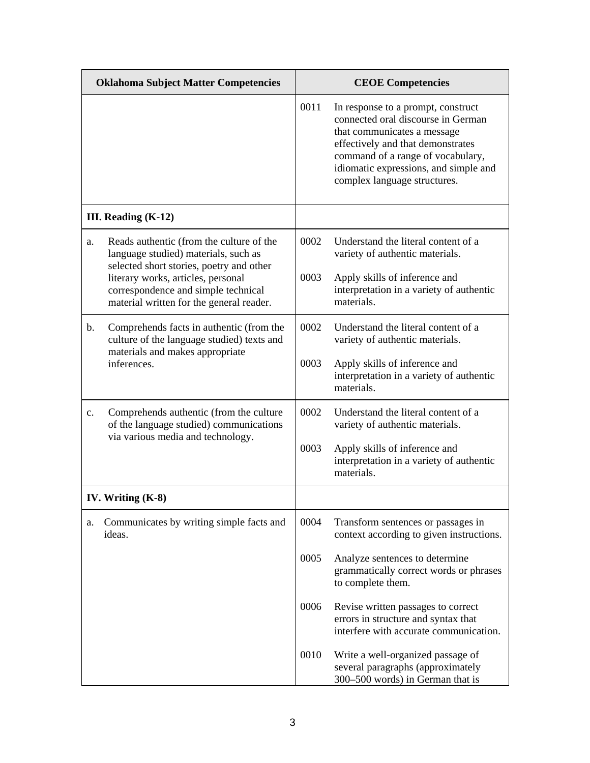| <b>Oklahoma Subject Matter Competencies</b> |                                                                                                                                                                                                                                                       | <b>CEOE Competencies</b> |                                                                                                                                                                                                                                                            |  |
|---------------------------------------------|-------------------------------------------------------------------------------------------------------------------------------------------------------------------------------------------------------------------------------------------------------|--------------------------|------------------------------------------------------------------------------------------------------------------------------------------------------------------------------------------------------------------------------------------------------------|--|
|                                             |                                                                                                                                                                                                                                                       | 0011                     | In response to a prompt, construct<br>connected oral discourse in German<br>that communicates a message<br>effectively and that demonstrates<br>command of a range of vocabulary,<br>idiomatic expressions, and simple and<br>complex language structures. |  |
|                                             | III. Reading (K-12)                                                                                                                                                                                                                                   |                          |                                                                                                                                                                                                                                                            |  |
| a.                                          | Reads authentic (from the culture of the<br>language studied) materials, such as<br>selected short stories, poetry and other<br>literary works, articles, personal<br>correspondence and simple technical<br>material written for the general reader. | 0002<br>0003             | Understand the literal content of a<br>variety of authentic materials.<br>Apply skills of inference and<br>interpretation in a variety of authentic<br>materials.                                                                                          |  |
| b.                                          | Comprehends facts in authentic (from the<br>culture of the language studied) texts and                                                                                                                                                                | 0002                     | Understand the literal content of a<br>variety of authentic materials.                                                                                                                                                                                     |  |
|                                             | materials and makes appropriate<br>inferences.                                                                                                                                                                                                        | 0003                     | Apply skills of inference and<br>interpretation in a variety of authentic<br>materials.                                                                                                                                                                    |  |
| c.                                          | Comprehends authentic (from the culture<br>of the language studied) communications<br>via various media and technology.                                                                                                                               | 0002                     | Understand the literal content of a<br>variety of authentic materials.                                                                                                                                                                                     |  |
|                                             |                                                                                                                                                                                                                                                       | 0003                     | Apply skills of inference and<br>interpretation in a variety of authentic<br>materials.                                                                                                                                                                    |  |
|                                             | IV. Writing $(K-8)$                                                                                                                                                                                                                                   |                          |                                                                                                                                                                                                                                                            |  |
| a.                                          | Communicates by writing simple facts and<br>ideas.                                                                                                                                                                                                    | 0004                     | Transform sentences or passages in<br>context according to given instructions.                                                                                                                                                                             |  |
|                                             |                                                                                                                                                                                                                                                       | 0005                     | Analyze sentences to determine<br>grammatically correct words or phrases<br>to complete them.                                                                                                                                                              |  |
|                                             |                                                                                                                                                                                                                                                       | 0006                     | Revise written passages to correct<br>errors in structure and syntax that<br>interfere with accurate communication.                                                                                                                                        |  |
|                                             |                                                                                                                                                                                                                                                       | 0010                     | Write a well-organized passage of<br>several paragraphs (approximately<br>300-500 words) in German that is                                                                                                                                                 |  |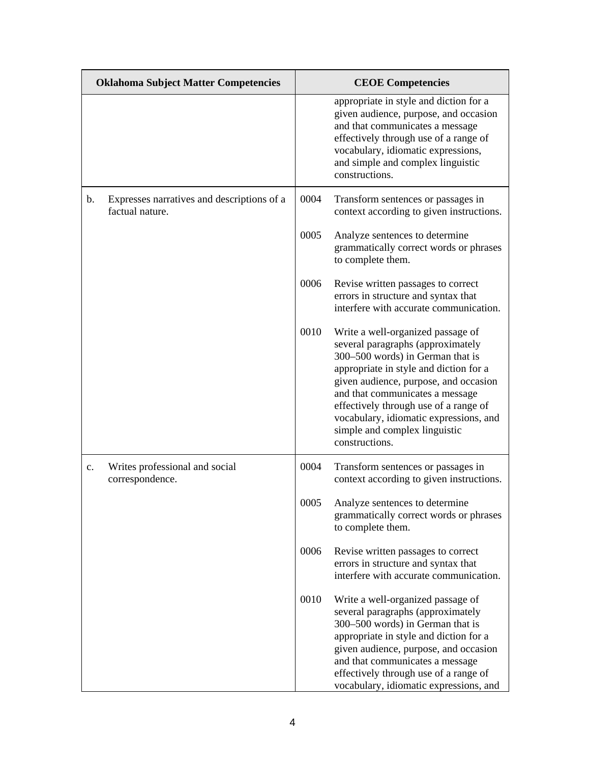| <b>Oklahoma Subject Matter Competencies</b> |                                                               | <b>CEOE Competencies</b> |                                                                                                                                                                                                                                                                                                                                                                        |  |
|---------------------------------------------|---------------------------------------------------------------|--------------------------|------------------------------------------------------------------------------------------------------------------------------------------------------------------------------------------------------------------------------------------------------------------------------------------------------------------------------------------------------------------------|--|
|                                             |                                                               |                          | appropriate in style and diction for a<br>given audience, purpose, and occasion<br>and that communicates a message<br>effectively through use of a range of<br>vocabulary, idiomatic expressions,<br>and simple and complex linguistic<br>constructions.                                                                                                               |  |
| b.                                          | Expresses narratives and descriptions of a<br>factual nature. | 0004                     | Transform sentences or passages in<br>context according to given instructions.                                                                                                                                                                                                                                                                                         |  |
|                                             |                                                               | 0005                     | Analyze sentences to determine<br>grammatically correct words or phrases<br>to complete them.                                                                                                                                                                                                                                                                          |  |
|                                             |                                                               | 0006                     | Revise written passages to correct<br>errors in structure and syntax that<br>interfere with accurate communication.                                                                                                                                                                                                                                                    |  |
|                                             |                                                               | 0010                     | Write a well-organized passage of<br>several paragraphs (approximately<br>300-500 words) in German that is<br>appropriate in style and diction for a<br>given audience, purpose, and occasion<br>and that communicates a message<br>effectively through use of a range of<br>vocabulary, idiomatic expressions, and<br>simple and complex linguistic<br>constructions. |  |
| c.                                          | Writes professional and social<br>correspondence.             | 0004                     | Transform sentences or passages in<br>context according to given instructions.                                                                                                                                                                                                                                                                                         |  |
|                                             |                                                               | 0005                     | Analyze sentences to determine<br>grammatically correct words or phrases<br>to complete them.                                                                                                                                                                                                                                                                          |  |
|                                             |                                                               | 0006                     | Revise written passages to correct<br>errors in structure and syntax that<br>interfere with accurate communication.                                                                                                                                                                                                                                                    |  |
|                                             |                                                               | 0010                     | Write a well-organized passage of<br>several paragraphs (approximately<br>300–500 words) in German that is<br>appropriate in style and diction for a<br>given audience, purpose, and occasion<br>and that communicates a message<br>effectively through use of a range of<br>vocabulary, idiomatic expressions, and                                                    |  |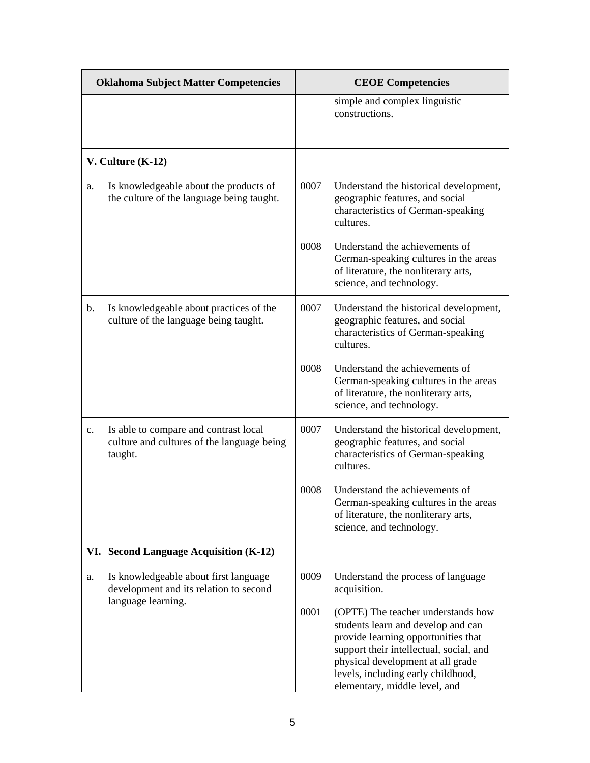| <b>Oklahoma Subject Matter Competencies</b> |                                                                                                       | <b>CEOE Competencies</b> |                                                                                                                                                                                                                                                                        |  |
|---------------------------------------------|-------------------------------------------------------------------------------------------------------|--------------------------|------------------------------------------------------------------------------------------------------------------------------------------------------------------------------------------------------------------------------------------------------------------------|--|
|                                             |                                                                                                       |                          | simple and complex linguistic<br>constructions.                                                                                                                                                                                                                        |  |
|                                             | V. Culture $(K-12)$                                                                                   |                          |                                                                                                                                                                                                                                                                        |  |
| a.                                          | Is knowledgeable about the products of<br>the culture of the language being taught.                   | 0007                     | Understand the historical development,<br>geographic features, and social<br>characteristics of German-speaking<br>cultures.                                                                                                                                           |  |
|                                             |                                                                                                       | 0008                     | Understand the achievements of<br>German-speaking cultures in the areas<br>of literature, the nonliterary arts,<br>science, and technology.                                                                                                                            |  |
| b.                                          | Is knowledgeable about practices of the<br>culture of the language being taught.                      | 0007                     | Understand the historical development,<br>geographic features, and social<br>characteristics of German-speaking<br>cultures.                                                                                                                                           |  |
|                                             |                                                                                                       | 0008                     | Understand the achievements of<br>German-speaking cultures in the areas<br>of literature, the nonliterary arts,<br>science, and technology.                                                                                                                            |  |
| c.                                          | Is able to compare and contrast local<br>culture and cultures of the language being<br>taught.        | 0007                     | Understand the historical development,<br>geographic features, and social<br>characteristics of German-speaking<br>cultures.                                                                                                                                           |  |
|                                             |                                                                                                       | 0008                     | Understand the achievements of<br>German-speaking cultures in the areas<br>of literature, the nonliterary arts,<br>science, and technology.                                                                                                                            |  |
|                                             | VI. Second Language Acquisition (K-12)                                                                |                          |                                                                                                                                                                                                                                                                        |  |
| a.                                          | Is knowledgeable about first language<br>development and its relation to second<br>language learning. | 0009                     | Understand the process of language<br>acquisition.                                                                                                                                                                                                                     |  |
|                                             |                                                                                                       | 0001                     | (OPTE) The teacher understands how<br>students learn and develop and can<br>provide learning opportunities that<br>support their intellectual, social, and<br>physical development at all grade<br>levels, including early childhood,<br>elementary, middle level, and |  |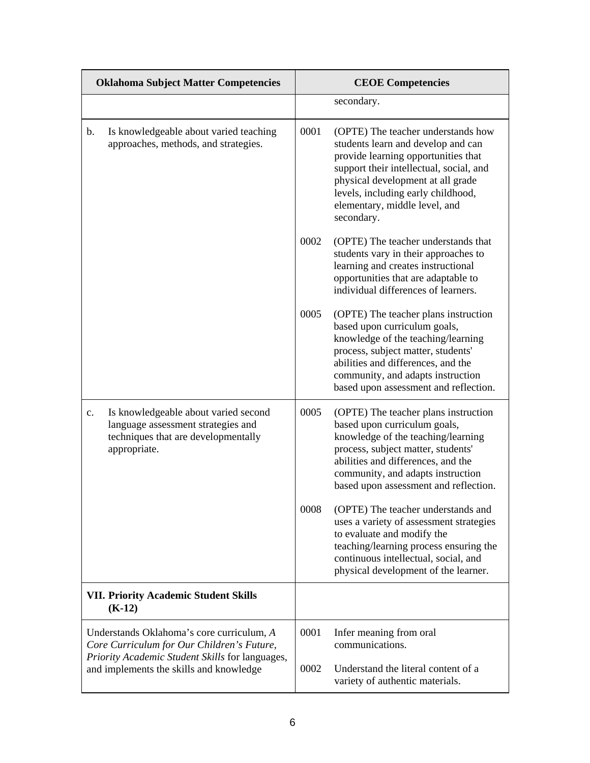| <b>Oklahoma Subject Matter Competencies</b>                                                |                                                                                                                                   | <b>CEOE Competencies</b> |                                                                                                                                                                                                                                                                                      |
|--------------------------------------------------------------------------------------------|-----------------------------------------------------------------------------------------------------------------------------------|--------------------------|--------------------------------------------------------------------------------------------------------------------------------------------------------------------------------------------------------------------------------------------------------------------------------------|
|                                                                                            |                                                                                                                                   |                          | secondary.                                                                                                                                                                                                                                                                           |
| $\mathbf{b}$ .                                                                             | Is knowledgeable about varied teaching<br>approaches, methods, and strategies.                                                    | 0001                     | (OPTE) The teacher understands how<br>students learn and develop and can<br>provide learning opportunities that<br>support their intellectual, social, and<br>physical development at all grade<br>levels, including early childhood,<br>elementary, middle level, and<br>secondary. |
|                                                                                            |                                                                                                                                   | 0002                     | (OPTE) The teacher understands that<br>students vary in their approaches to<br>learning and creates instructional<br>opportunities that are adaptable to<br>individual differences of learners.                                                                                      |
|                                                                                            |                                                                                                                                   | 0005                     | (OPTE) The teacher plans instruction<br>based upon curriculum goals,<br>knowledge of the teaching/learning<br>process, subject matter, students'<br>abilities and differences, and the<br>community, and adapts instruction<br>based upon assessment and reflection.                 |
| c.                                                                                         | Is knowledgeable about varied second<br>language assessment strategies and<br>techniques that are developmentally<br>appropriate. | 0005                     | (OPTE) The teacher plans instruction<br>based upon curriculum goals,<br>knowledge of the teaching/learning<br>process, subject matter, students'<br>abilities and differences, and the<br>community, and adapts instruction<br>based upon assessment and reflection.                 |
|                                                                                            |                                                                                                                                   | 0008                     | (OPTE) The teacher understands and<br>uses a variety of assessment strategies<br>to evaluate and modify the<br>teaching/learning process ensuring the<br>continuous intellectual, social, and<br>physical development of the learner.                                                |
| <b>VII. Priority Academic Student Skills</b><br>$(K-12)$                                   |                                                                                                                                   |                          |                                                                                                                                                                                                                                                                                      |
|                                                                                            | Understands Oklahoma's core curriculum, A<br>Core Curriculum for Our Children's Future,                                           | 0001                     | Infer meaning from oral<br>communications.                                                                                                                                                                                                                                           |
| Priority Academic Student Skills for languages,<br>and implements the skills and knowledge |                                                                                                                                   | 0002                     | Understand the literal content of a<br>variety of authentic materials.                                                                                                                                                                                                               |